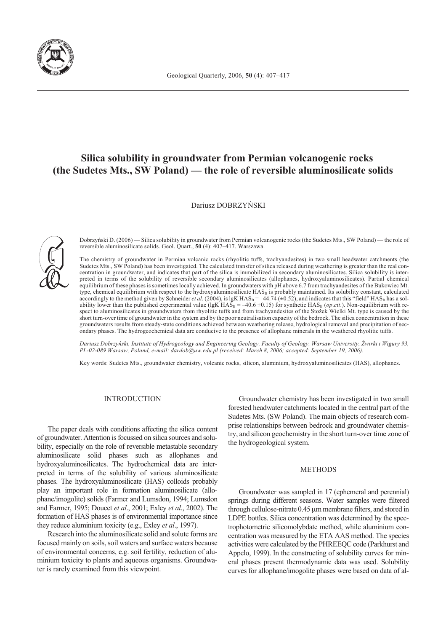

# **Silica solubility in groundwater from Permian volcanogenic rocks (the Sudetes Mts., SW Poland) — the role of reversible aluminosilicate solids**

Dariusz DOBRZYÑSKI



Dobrzyñski D. (2006) — Silica solubility in groundwater from Permian volcanogenic rocks (the Sudetes Mts., SW Poland) — the role of reversible aluminosilicate solids. Geol. Quart., **50** (4): 407–417. Warszawa.

The chemistry of groundwater in Permian volcanic rocks (rhyolitic tuffs, trachyandesites) in two small headwater catchments (the Sudetes Mts., SW Poland) has been investigated. The calculated transfer of silica released during weathering is greater than the real concentration in groundwater, and indicates that part of the silica is immobilized in secondary aluminosilicates. Silica solubility is interpreted in terms of the solubility of reversible secondary aluminosilicates (allophanes, hydroxyaluminosilicates). Partial chemical equilibrium of these phases is sometimes locally achieved. In groundwaters with pH above 6.7 from trachyandesites of the Bukowiec Mt. type, chemical equilibrium with respect to the hydroxyaluminosilicate HAS<sub>B</sub> is probably maintained. Its solubility constant, calculated accordingly to the method given by Schneider *et al.* (2004), is lgK  $HAS_B = -44.74 \, (\pm 0.52)$ , and indicates that this "field"  $HAS_B$  has a solubility lower than the published experimental value (lgK HAS<sub>B</sub> = –40.6 ±0.15) for synthetic HAS<sub>B</sub> (*op.cit*.). Non-equilibrium with respect to aluminosilicates in groundwaters from rhyolitic tuffs and from trachyandesites of the Stożek Wielki Mt. type is caused by the short turn-over time of groundwater in the system and by the poor neutralisation capacity of the bedrock. The silica concentration in these groundwaters results from steady-state conditions achieved between weathering release, hydrological removal and precipitation of secondary phases. The hydrogeochemical data are conducive to the presence of allophane minerals in the weathered rhyolitic tuffs.

*Dariusz Dobrzyñski, Institute of Hydrogeology and Engineering Geology, Faculty of Geology, Warsaw University, ¯wirki i Wigury 93, PL-02-089 Warsaw, Poland, e-mail: dardob@uw.edu.pl (received: March 8, 2006; accepted: September 19, 2006)*.

Key words: Sudetes Mts., groundwater chemistry, volcanic rocks, silicon, aluminium, hydroxyaluminosilicates (HAS), allophanes.

# INTRODUCTION

The paper deals with conditions affecting the silica content of groundwater. Attention is focussed on silica sources and solubility, especially on the role of reversible metastable secondary aluminosilicate solid phases such as allophanes and hydroxyaluminosilicates. The hydrochemical data are interpreted in terms of the solubility of various aluminosilicate phases. The hydroxyaluminosilicate (HAS) colloids probably play an important role in formation aluminosilicate (allophane/imogolite) solids (Farmer and Lumsdon, 1994; Lumsdon and Farmer, 1995; Doucet *et al*., 2001; Exley *et al*., 2002). The formation of HAS phases is of environmental importance since they reduce aluminium toxicity (e.g., Exley *et al*., 1997).

Research into the aluminosilicate solid and solute forms are focused mainly on soils, soil waters and surface waters because of environmental concerns, e.g. soil fertility, reduction of aluminium toxicity to plants and aqueous organisms. Groundwater is rarely examined from this viewpoint.

Groundwater chemistry has been investigated in two small forested headwater catchments located in the central part of the Sudetes Mts. (SW Poland). The main objects of research comprise relationships between bedrock and groundwater chemistry, and silicon geochemistry in the short turn-over time zone of the hydrogeological system.

# METHODS

Groundwater was sampled in 17 (ephemeral and perennial) springs during different seasons. Water samples were filtered through cellulose-nitrate 0.45 µm membrane filters, and stored in LDPE bottles. Silica concentration was determined by the spectrophotometric silicomolybdate method, while aluminium concentration was measured by the ETA AAS method. The species activities were calculated by the PHREEQC code (Parkhurst and Appelo, 1999). In the constructing of solubility curves for mineral phases present thermodynamic data was used. Solubility curves for allophane/imogolite phases were based on data of al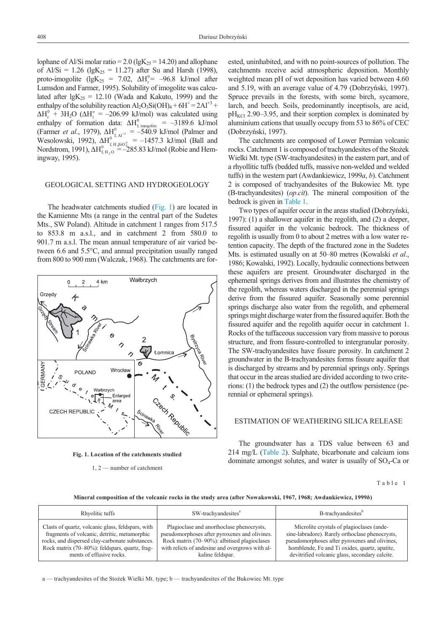<span id="page-1-0"></span>lophane of Al/Si molar ratio = 2.0 (lgK<sub>25</sub> = 14.20) and allophane of Al/Si = 1.26 (lgK<sub>25</sub> = 11.27) after Su and Harsh (1998), proto-imogolite (lgK<sub>25</sub> = 7.02,  $\Delta H_r^0$  = -96.8 kJ/mol after Lumsdon and Farmer, 1995). Solubility of imogolite was calculated after  $lgK_{25} = 12.10$  (Wada and Kakuto, 1999) and the enthalpy of the solubility reaction  $Al_2O_3Si(OH)_4 + 6H^+ = 2Al^{+3} +$  $\Delta H_r^0$  + 3H<sub>2</sub>O ( $\Delta H_r^o$  = -206.99 kJ/mol) was calculated using enthalpy of formation data:  $\Delta H_{f, \text{imogolite}}^0 = -3189.6 \text{ kJ/mol}$ (Farmer *et al.*, 1979),  $\Delta H_{\text{A}}^0$  =  $-540.9$  kJ/mol (Palmer and Wesolowski, 1992),  $\Delta H_{f, H, \sin \theta}^{0 \rightarrow \pi} = -1457.3$  kJ/mol (Ball and Nordstrom, 1991),  $\Delta H_{f, H_2O}^{0} = -285.83$  kJ/mol (Robie and Hemingway, 1995).

# GEOLOGICAL SETTING AND HYDROGEOLOGY

The headwater catchments studied (Fig. 1) are located in the Kamienne Mts (a range in the central part of the Sudetes Mts., SW Poland). Altitude in catchment 1 ranges from 517.5 to 853.8 m a.s.l., and in catchment 2 from 580.0 to 901.7 m a.s.l. The mean annual temperature of air varied between 6.6 and 5.5°C, and annual precipitation usually ranged from 800 to 900 mm (Walczak, 1968). The catchments are for-





1, 2 — number of catchment

ested, uninhabited, and with no point-sources of pollution. The catchments receive acid atmospheric deposition. Monthly weighted mean pH of wet deposition has varied between 4.60 and 5.19, with an average value of 4.79 (Dobrzyñski, 1997). Spruce prevails in the forests, with some birch, sycamore, larch, and beech. Soils, predominantly inceptisols, are acid,  $pH_{\text{KCl}}$  2.90–3.95, and their sorption complex is dominated by aluminium cations that usually occupy from 53 to 86% of CEC (Dobrzyñski, 1997).

The catchments are composed of Lower Permian volcanic rocks. Catchment 1 is composed of trachyandesites of the Stożek Wielki Mt. type (SW-trachyandesites) in the eastern part, and of a rhyollitic tuffs (bedded tuffs, massive non-welded and welded tuffs) in the western part (Awdankiewicz, 1999*a*, *b*). Catchment 2 is composed of trachyandesites of the Bukowiec Mt. type (B-trachyandesites) (*op*.*cit*). The mineral composition of the bedrock is given in Table 1.

Two types of aquifer occur in the areas studied (Dobrzyñski, 1997): (1) a shallower aquifer in the regolith, and (2) a deeper, fissured aquifer in the volcanic bedrock. The thickness of regolith is usually from 0 to about 2 metres with a low water retention capacity. The depth of the fractured zone in the Sudetes Mts. is estimated usually on at 50–80 metres (Kowalski *et al*., 1986; Kowalski, 1992). Locally, hydraulic connections between these aquifers are present. Groundwater discharged in the ephemeral springs derives from and illustrates the chemistry of the regolith, whereas waters discharged in the perennial springs derive from the fissured aquifer. Seasonally some perennial springs discharge also water from the regolith, and ephemeral springs might discharge water from the fissured aquifer. Both the fissured aquifer and the regolith aquifer occur in catchment 1. Rocks of the tuffaceous succession vary from massive to porous structure, and from fissure-controlled to intergranular porosity. The SW-trachyandesites have fissure porosity. In catchment 2 groundwater in the B-trachyandesites forms fissure aquifer that is discharged by streams and by perennial springs only. Springs that occur in the areas studied are divided according to two criterions: (1) the bedrock types and (2) the outflow persistence (perennial or ephemeral springs).

# ESTIMATION OF WEATHERING SILICA RELEASE

The groundwater has a TDS value between 63 and 214 mg/L [\(Table 2\)](#page-2-0). Sulphate, bicarbonate and calcium ions dominate amongst solutes, and water is usually of  $SO_4$ -Ca or

Table 1

**Mineral composition of the volcanic rocks in the study area (after Nowakowski, 1967, 1968; Awdankiewicz, 1999***b***)**

| Rhyolitic tuffs                                   | SW-trachyandesites <sup>a</sup>                 | B-trachyandesites <sup>b</sup>                  |
|---------------------------------------------------|-------------------------------------------------|-------------------------------------------------|
| Clasts of quartz, volcanic glass, feldspars, with | Plagioclase and anorthoclase phenocrysts,       | Microlite crystals of plagioclases (ande-       |
| fragments of volcanic, detritic, metamorphic      | pseudomorphoses after pyroxenes and olivines.   | sine-labradore). Rarely orthoclase phenocrysts, |
| rocks, and dispersed clay-carbonate substances.   | Rock matrix (70–90%): albitised plagioclases    | pseudomorphoses after pyroxenes and olivines,   |
| Rock matrix (70–80%): feldspars, quartz, frag-    | with relicts of andesine and overgrows with al- | hornblende, Fe and Ti oxides, quartz, apatite,  |
| ments of effusive rocks.                          | kaline feldspar.                                | devitrified volcanic glass, secondary calcite.  |

a — trachyandesites of the Stożek Wielki Mt. type; b — trachyandesites of the Bukowiec Mt. type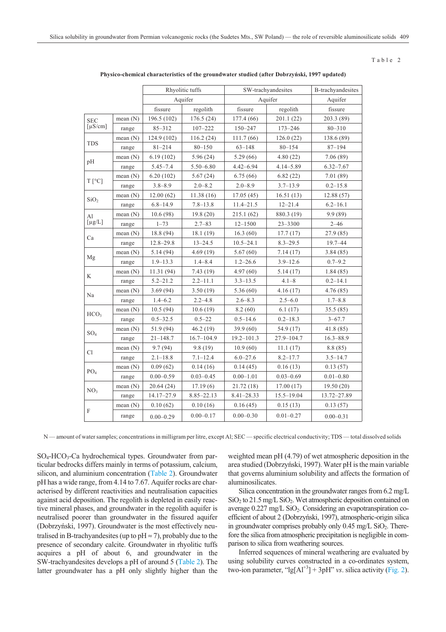### Table 2

<span id="page-2-0"></span>

|                          |            | Rhyolitic tuffs |                    | SW-trachyandesites |                | B-trachyandesites |  |
|--------------------------|------------|-----------------|--------------------|--------------------|----------------|-------------------|--|
|                          |            |                 | Aquifer<br>Aquifer |                    |                | Aquifer           |  |
|                          |            | fissure         | regolith           | fissure            | regolith       | fissure           |  |
| <b>SEC</b>               | mean $(N)$ | 196.5 (102)     | 176.5(24)          | 177.4 (66)         | 201.1(22)      | 203.3 (89)        |  |
| $\lceil \mu S/cm \rceil$ | range      | $85 - 312$      | $107 - 222$        | 150-247            | $173 - 246$    | $80 - 310$        |  |
|                          | mean $(N)$ | 124.9 (102)     | 116.2(24)          | 111.7 (66)         | 126.0(22)      | 138.6 (89)        |  |
| <b>TDS</b>               | range      | $81 - 214$      | $80 - 150$         | $63 - 148$         | $80 - 154$     | $87 - 194$        |  |
|                          | mean $(N)$ | 6.19(102)       | 5.96 (24)          | 5.29 (66)          | 4.80 (22)      | 7.06 (89)         |  |
| pН                       | range      | $5.45 - 7.4$    | 5.50-6.80          | $4.42 - 6.94$      | 4.14-5.89      | $6.32 - 7.67$     |  |
|                          | mean $(N)$ | 6.20(102)       | 5.67(24)           | 6.75 (66)          | 6.82(22)       | 7.01 (89)         |  |
| $T[^{\circ}C]$           | range      | $3.8 - 8.9$     | $2.0 - 8.2$        | $2.0 - 8.9$        | $3.7 - 13.9$   | $0.2 - 15.8$      |  |
| SiO <sub>2</sub>         | mean $(N)$ | 12.00(62)       | 11.38(16)          | 17.05 (45)         | 16.51(13)      | 12.88 (57)        |  |
|                          | range      | $6.8 - 14.9$    | $7.8 - 13.8$       | $11.4 - 21.5$      | $12 - 21.4$    | $6.2 - 16.1$      |  |
| Al                       | mean $(N)$ | 10.6(98)        | 19.8(20)           | 215.1 (62)         | 880.3 (19)     | 9.9(89)           |  |
| $[\mu g/L]$              | range      | $1 - 73$        | $2.7 - 83$         | $12 - 1500$        | $23 - 3300$    | $2 - 46$          |  |
|                          | mean(N)    | 18.8 (94)       | 18.1 (19)          | 16.3(60)           | 17.7(17)       | 27.9 (85)         |  |
| Ca                       | range      | $12.8 - 29.8$   | $13 - 24.5$        | $10.5 - 24.1$      | $8.3 - 29.5$   | $19.7 - 44$       |  |
|                          | mean (N)   | 5.14(94)        | 4.69(19)           | 5.67(60)           | 7.14 (17)      | 3.84(85)          |  |
| Mg                       | range      | $1.9 - 13.3$    | $1.4 - 8.4$        | $1.2 - 26.6$       | $3.9 - 12.6$   | $0.7 - 9.2$       |  |
|                          | mean $(N)$ | 11.31 (94)      | 7.43(19)           | 4.97(60)           | 5.14(17)       | 1.84(85)          |  |
| K                        | range      | $5.2 - 21.2$    | $2.2 - 11.1$       | $3.3 - 13.5$       | $4.1 - 8$      | $0.2 - 14.1$      |  |
|                          | mean (N)   | 3.69(94)        | 3.50(19)           | 5.36(60)           | 4.16(17)       | 4.76 (85)         |  |
| Na                       | range      | $1.4 - 6.2$     | $2.2 - 4.8$        | $2.6 - 8.3$        | $2.5 - 6.0$    | $1.7 - 8.8$       |  |
| HCO <sub>3</sub>         | mean $(N)$ | 10.5(94)        | 10.6(19)           | 8.2(60)            | 6.1(17)        | 35.5 (85)         |  |
|                          | range      | $0.5 - 32.5$    | $0.5 - 22$         | $0.5 - 14.6$       | $0.2 - 18.3$   | $3 - 67.7$        |  |
| SO <sub>4</sub>          | mean $(N)$ | 51.9 (94)       | 46.2 (19)          | 39.9 (60)          | 54.9 (17)      | 41.8 (85)         |  |
|                          | range      | $21 - 148.7$    | $16.7 - 104.9$     | $19.2 - 101.3$     | 27.9-104.7     | $16.3 - 88.9$     |  |
| C1                       | mean $(N)$ | 9.7(94)         | 9.8(19)            | 10.9(60)           | 11.1(17)       | 8.8 (85)          |  |
|                          | range      | $2.1 - 18.8$    | $7.1 - 12.4$       | $6.0 - 27.6$       | $8.2 - 17.7$   | $3.5 - 14.7$      |  |
| PO <sub>4</sub>          | mean(N)    | 0.09(62)        | 0.14(16)           | 0.14(45)           | 0.16(13)       | 0.13(57)          |  |
|                          | range      | $0.00 - 0.59$   | $0.03 - 0.45$      | $0.00 - 1.01$      | $0.03 - 0.69$  | $0.01 - 0.80$     |  |
| NO <sub>3</sub>          | mean $(N)$ | 20.64(24)       | 17.19(6)           | 21.72 (18)         | 17.00(17)      | 19.50(20)         |  |
|                          | range      | 14.17-27.9      | $8.85 - 22.13$     | $8.41 - 28.33$     | $15.5 - 19.04$ | 13.72-27.89       |  |
|                          | mean $(N)$ | 0.10(62)        | 0.10(16)           | 0.16(45)           | 0.15(13)       | 0.13(57)          |  |
| F                        | range      | $0.00 - 0.29$   | $0.00 - 0.17$      | $0.00 - 0.30$      | $0.01 - 0.27$  | $0.00 - 0.31$     |  |

**Physico-chemical characteristics of the groundwater studied (after Dobrzyñski, 1997 updated)**

N — amount of water samples; concentrations in milligram per litre, except Al; SEC — specific electrical conductivity; TDS — total dissolved solids

SO4-HCO3-Ca hydrochemical types. Groundwater from particular bedrocks differs mainly in terms of potassium, calcium, silicon, and aluminium concentration (Table 2). Groundwater pH has a wide range, from 4.14 to 7.67. Aquifer rocks are characterised by different reactivities and neutralisation capacities against acid deposition. The regolith is depleted in easily reactive mineral phases, and groundwater in the regolith aquifer is neutralised poorer than groundwater in the fissured aquifer (Dobrzyñski, 1997). Groundwater is the most effectively neutralised in B-trachyandesites (up to  $pH \approx 7$ ), probably due to the presence of secondary calcite. Groundwater in rhyolitic tuffs acquires a pH of about 6, and groundwater in the SW-trachyandesites develops a pH of around 5 (Table 2). The latter groundwater has a pH only slightly higher than the weighted mean pH (4.79) of wet atmospheric deposition in the area studied (Dobrzyñski, 1997). Water pH is the main variable that governs aluminium solubility and affects the formation of aluminosilicates.

Silica concentration in the groundwater ranges from 6.2 mg/L  $SiO<sub>2</sub>$  to 21.5 mg/L  $SiO<sub>2</sub>$ . Wet atmospheric deposition contained on average  $0.227 \text{ mg/L SiO}_2$ . Considering an evapotranspiration coefficient of about 2 (Dobrzyñski, 1997), atmospheric-origin silica in groundwater comprises probably only  $0.45 \text{ mg/L SiO}_2$ . Therefore the silica from atmospheric precipitation is negligible in comparison to silica from weathering sources.

Inferred sequences of mineral weathering are evaluated by using solubility curves constructed in a co-ordinates system, two-ion parameter, " $\lg[A]^{+3}$ ] + 3pH" *vs*. silica activity [\(Fig. 2\)](#page-3-0).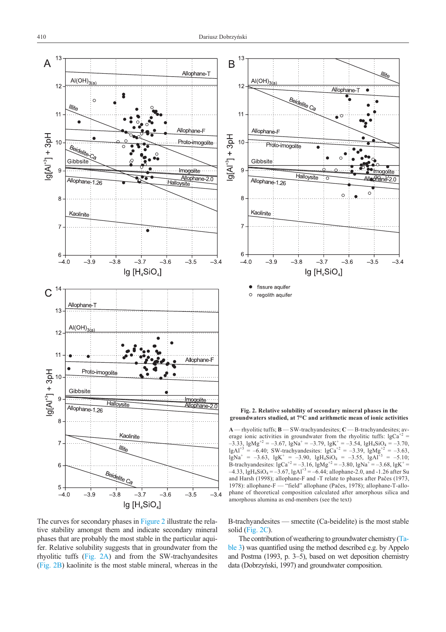<span id="page-3-0"></span>

The curves for secondary phases in Figure 2 illustrate the relative stability amongst them and indicate secondary mineral phases that are probably the most stable in the particular aquifer. Relative solubility suggests that in groundwater from the rhyolitic tuffs (Fig. 2A) and from the SW-trachyandesites (Fig. 2B) kaolinite is the most stable mineral, whereas in the



**Fig. 2. Relative solubility of secondary mineral phases in the groundwaters studied, at 7°C and arithmetic mean of ionic activities**

**A** — rhyolitic tuffs; **B** — SW-trachyandesites; **C** — B-trachyandesites; average ionic activities in groundwater from the rhyolitic tuffs:  $lgCa<sup>+2</sup>$  =  $-3.33$ , lgMg<sup>+2</sup> =  $-3.67$ , lgNa<sup>+</sup> =  $-3.79$ , lgK<sup>+</sup> =  $-3.54$ , lgH<sub>4</sub>SiO<sub>4</sub> =  $-3.70$ , lgAl<sup>+3</sup> = –6.40; SW-trachyandesites: lgCa<sup>+2</sup> = –3.39, lgMg<sup>+2</sup> = –3.63,  $\lg Na^+ = -3.63$ ,  $lgK^+ = -3.90$ ,  $lgH_4SiO_4 = -3.55$ ,  $lgAl^{+3} = -5.10$ ; B-trachyandesites:  $lgCa^{+2} = -3.16$ ,  $lgMg^{+2} = -3.80$ ,  $lgNa^{+} = -3.68$ ,  $lgK^{+} =$  $-4.33$ , lgH<sub>4</sub>SiO<sub>4</sub> =  $-3.67$ , lgAl<sup>+3</sup> =  $-6.44$ ; allophane-2.0, and -1.26 after Su and Harsh (1998); allophane-F and -T relate to phases after Pačes (1973, 1978): allophane-F — "field" allophane (Pačes, 1978); allophane-T-allo-- "field" allophane (Pačes, 1978); allophane-T-allophane of theoretical composition calculated after amorphous silica and amorphous alumina as end-members (see the text)

B-trachyandesites — smectite (Ca-beidelite) is the most stable solid (Fig. 2C).

The contribution of weathering to groundwater chemistry [\(Ta](#page-4-0)[ble 3\)](#page-4-0) was quantified using the method described e.g. by Appelo and Postma (1993, p. 3–5), based on wet deposition chemistry data (Dobrzyñski, 1997) and groundwater composition.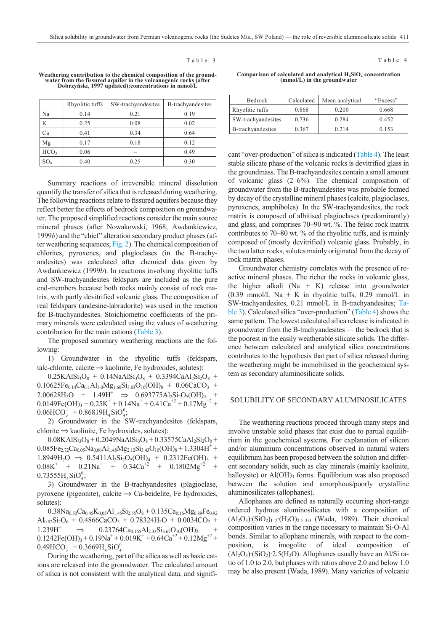### Table 3

<span id="page-4-0"></span>

| Weathering contribution to the chemical composition of the ground- |
|--------------------------------------------------------------------|
| water from the fissured aquifer in the volcanogenic rocks (after   |
| Dobrzyński, 1997 updated); concentrations in mmol/L                |

|                  | Rhyolitic tuffs | SW-trachyandesites | B-trachyandesites |
|------------------|-----------------|--------------------|-------------------|
| Na               | 0.14            | 0.21               | 0.19              |
| K                | 0.25            | 0.08               | 0.02              |
| Ca               | 0.41            | 0.34               | 0.64              |
| Mg               | 0.17            | 0.18               | 0.12              |
| HCO <sub>3</sub> | 0.06            | -                  | 0.49              |
| SO <sub>4</sub>  | 0.40            | 0.25               | 0.30              |

Summary reactions of irreversible mineral dissolution quantify the transfer of silica that is released during weathering. The following reactions relate to fissured aquifers because they reflect better the effects of bedrock composition on groundwater. The proposed simplified reactions consider the main source mineral phases (after Nowakowski, 1968; Awdankiewicz, 1999*b*) and the "chief" alteration secondary product phases (after weathering sequences; [Fig. 2\)](#page-3-0). The chemical composition of chlorites, pyroxenes, and plagioclases (in the B-trachyandesites) was calculated after chemical data given by Awdankiewicz (1999*b*). In reactions involving rhyolitic tuffs and SW-trachyandesites feldspars are included as the pure end-members because both rocks mainly consist of rock matrix, with partly devitrified volcanic glass. The composition of real feldspars (andesine-labradorite) was used in the reaction for B-trachyandesites. Stoichiometric coefficients of the primary minerals were calculated using the values of weathering contribution for the main cations (Table 3).

The proposed summary weathering reactions are the following:

1) Groundwater in the rhyolitic tuffs (feldspars, talc-chlorite, calcite  $\Rightarrow$  kaolinite, Fe hydroxides, solutes):

 $0.25KAlSi<sub>3</sub>O<sub>8</sub> + 0.14NaAlSi<sub>3</sub>O<sub>8</sub> + 0.3394CaAl<sub>2</sub>Si<sub>2</sub>O<sub>8</sub> +$  $0.10625Fe_{0.14}Ca_{0.1}Al_{3.0}Mg_{1.60}Si_{3.83}O_{10}(OH)_{8} + 0.06CaCO_{3} +$  $2.00628H_2O + 1.49H^+ \Rightarrow 0.693775Al_2Si_2O_5(OH)_4 +$  $0.0149Fe(OH)<sub>3</sub> + 0.25K<sup>+</sup> + 0.14Na<sup>+</sup> + 0.41Ca<sup>+2</sup> + 0.17Mg<sup>+2</sup> +$  $0.06$ HCO<sub>3</sub> +  $0.86819$ H<sub>4</sub>SiO<sup>0</sup><sub>4</sub>;

2) Groundwater in the SW-trachyandesites (feldspars, chlorite  $\Rightarrow$  kaolinite, Fe hydroxides, solutes):

 $0.08KAlSi<sub>3</sub>O<sub>8</sub> + 0.2049NaAlSi<sub>3</sub>O<sub>8</sub> + 0.33575CaAl<sub>2</sub>Si<sub>2</sub>O<sub>8</sub> +$  $0.085Fe_{2.72}Ca_{0.05}Na_{0.06}Al_{1.48}Mg_{2.12}Si_{3.43}O_{10}(OH)_{8} + 1.3304H^{+} +$  $1.8949H_2O \Rightarrow 0.5411Al_2Si_2O_5(OH)_4 + 0.2312Fe(OH)_3 +$  $0.08K^+$  +  $0.21Na^+$  +  $0.34Ca^{+2}$  +  $0.1802Mg^{+2}$  $0.73555H_4SiO_4^0;$ 

3) Groundwater in the B-trachyandesites (plagioclase, pyroxene (pigeonite), calcite  $\Rightarrow$  Ca-beidelite, Fe hydroxides, solutes):

 $0.38Na<sub>0.50</sub>Ca<sub>0.45</sub>K<sub>0.05</sub>Al<sub>1.45</sub>Si<sub>2.55</sub>O<sub>8</sub> + 0.135Ca<sub>0.16</sub>Mg<sub>0.89</sub>Fe<sub>0.92</sub>$  $Al_{0.02}Si_2O_6 + 0.4866CaCO_3 + 0.78324H_2O + 0.0034CO_2 +$  $1.239H^+ \Rightarrow 0.23764Ca_{0.165}Al_{2.33}Si_{3.67}O_{10}(OH)_2$  $0.1242Fe(OH)<sub>3</sub> + 0.19Na<sup>+</sup> + 0.019K<sup>+</sup> + 0.64Ca<sup>+2</sup> + 0.12Mg<sup>+2</sup> +$  $0.49HCO_3^- + 0.3669H_4SiO_4^0.$ 

During the weathering, part of the silica as well as basic cations are released into the groundwater. The calculated amount of silica is not consistent with the analytical data, and signifi-

**Comparison of calculated and analytical H4SiO4 concentration (mmol/L) in the groundwater**

| <b>Bedrock</b>     | Calculated | Mean analytical | "Excess" |
|--------------------|------------|-----------------|----------|
| Rhyolitic tuffs    | 0.868      | 0.200           | 0.668    |
| SW-trachyandesites | 0.736      | 0.284           | 0.452    |
| B-trachyandesites  | 0.367      | 0.214           | 0.153    |

cant "over-production" of silica is indicated (Table 4). The least stable silicate phase of the volcanic rocks is devitrified glass in the groundmass. The B-trachyandesites contain a small amount of volcanic glass (2–6%). The chemical composition of groundwater from the B-trachyandesites was probable formed by decay of the crystalline mineral phases (calcite, plagioclases, pyroxenes, amphiboles). In the SW-trachyandesites, the rock matrix is composed of albitised plagioclases (predominantly) and glass, and comprises 70–90 wt. %. The felsic rock matrix contributes to 70–80 wt. % of the rhyolitic tuffs, and is mainly composed of (mostly devitrified) volcanic glass. Probably, in the two latter rocks, solutes mainly originated from the decay of rock matrix phases.

Groundwater chemistry correlates with the presence of reactive mineral phases. The richer the rocks in volcanic glass, the higher alkali  $(Na + K)$  release into groundwater (0.39 mmol/L Na + K in rhyolitic tuffs, 0.29 mmol/L in SW-trachyandesites, 0.21 mmol/L in B-trachyandesites; Table 3). Calculated silica "over-production" (Table 4) shows the same pattern. The lowest calculated silica release is indicated in groundwater from the B-trachyandesites — the bedrock that is the poorest in the easily weatherable silicate solids. The difference between calculated and analytical silica concentrations contributes to the hypothesis that part of silica released during the weathering might be immobilised in the geochemical system as secondary aluminosilicate solids.

# SOLUBILITY OF SECONDARY ALUMINOSILICATES

The weathering reactions proceed through many steps and involve unstable solid phases that exist due to partial equilibrium in the geochemical systems. For explanation of silicon and/or aluminium concentrations observed in natural waters equilibrium has been proposed between the solution and different secondary solids, such as clay minerals (mainly kaolinite, halloysite) or  $Al(OH)$ <sub>3</sub> forms. Equilibrium was also proposed between the solution and amorphous/poorly crystalline aluminosilicates (allophanes).

Allophanes are defined as naturally occurring short-range ordered hydrous aluminosilicates with a composition of  $(A_1A_2O_3)$ · $(SiO_2)_{1-2}$ · $(H_2O)_{2.5-3.0}$  (Wada, 1989). Their chemical composition varies in the range necessary to maintain Si-O-Al bonds. Similar to allophane minerals, with respect to the composition, is imogolite of ideal composition of  $(A<sub>1</sub>, O<sub>3</sub>) \cdot (SiO<sub>2</sub>) \cdot 2.5(H<sub>2</sub>O)$ . Allophanes usually have an Al/Si ratio of 1.0 to 2.0, but phases with ratios above 2.0 and below 1.0 may be also present (Wada, 1989). Many varieties of volcanic

#### Table 4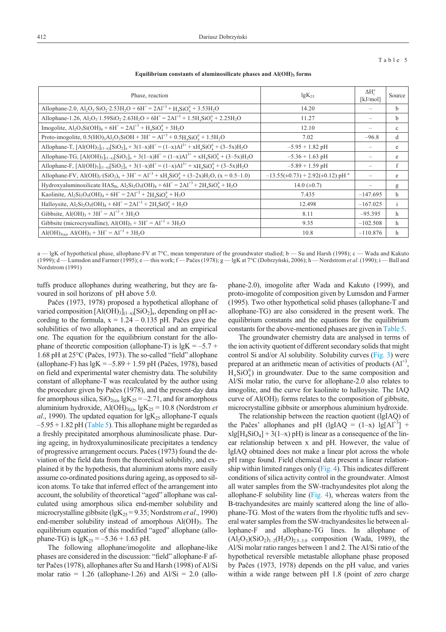#### Table 5

**Equilibrium constants of aluminosilicate phases and Al(OH)3 forms**

| Phase, reaction                                                                                                                                                                                                     | $lgK_{25}$                                          | $\Delta H_r^{\circ}$<br>[ $kJ/mol$ ] | Source       |
|---------------------------------------------------------------------------------------------------------------------------------------------------------------------------------------------------------------------|-----------------------------------------------------|--------------------------------------|--------------|
| Allophane-2.0, $Al_2O_3 \cdot SiO_2 \cdot 2.53H_2O + 6H^+ = 2Al^{+3} + H_4SiO_4^0 + 3.53H_2O$                                                                                                                       | 14.20                                               |                                      | b            |
| Allophane-1.26, $Al_2O_3 \cdot 1.59SiO_2 \cdot 2.63H_2O + 6H^+ = 2Al^{+3} + 1.5H_4SiO_4^0 + 2.25H_2O$                                                                                                               | 11.27                                               | $\overline{\phantom{0}}$             | $\mathbf{b}$ |
| Imogolite, $Al_2O_3Si(OH)_4 + 6H^+ = 2Al^{+3} + H_4SiO_4^0 + 3H_2O$                                                                                                                                                 | 12.10                                               |                                      | $\mathbf c$  |
| Proto-imogolite, $0.5(HO)_3Al_2O_3SiOH + 3H^+ = Al^{+3} + 0.5H_4SiO_4^0 + 1.5H_2O$                                                                                                                                  | 7.02                                                | $-96.8$                              | d            |
| Allophane-T, $[AI(OH)_3]_{(1-x)}[SiO_2]_x + 3(1-x)H^+ = (1-x)Al^{3+} + xH_4SiO_4^0 + (3-5x)H_2O$                                                                                                                    | $-5.95 + 1.82$ pH                                   | $\overline{\phantom{0}}$             | e            |
| Allophane-TG, $[AI(OH)_3]_{(1-x)}[SiO_2]_x + 3(1-x)H^+ = (1-x)Al^{3+} + xH_4SiO_4^0 + (3-5x)H_2O$                                                                                                                   | $-5.36 + 1.63$ pH                                   |                                      | e            |
| Allophane-F, $[AI(OH)_3]_{(1-x)}[SiO_2]_x + 3(1-x)H^+ = (1-x)Al^{3+} + xH_4SiO_4^0 + (3-5x)H_2O$                                                                                                                    | $-5.89 + 1.59$ pH                                   |                                      | f            |
| Allophane-FV, Al(OH) <sub>3</sub> ·(SiO <sub>2</sub> ) <sub>x</sub> + 3H <sup>+</sup> = Al <sup>+3</sup> + xH <sub>4</sub> SiO <sub>4</sub> <sup>0</sup> + (3-2x)H <sub>2</sub> O, (x = 0.5-1.0)                    | $-13.55(\pm 0.73) + 2.92(\pm 0.12)$ pH <sup>a</sup> |                                      | e            |
| Hydroxyaluminosilicate HAS <sub>B</sub> , Al <sub>2</sub> Si <sub>2</sub> O <sub>5</sub> (OH) <sub>4</sub> + 6H <sup>+</sup> = 2Al <sup>+3</sup> + 2H <sub>4</sub> SiO <sup>0</sup> <sub>4</sub> + H <sub>2</sub> O | 14.0 $(\pm 0.7)$                                    |                                      | g            |
| Kaolinite, $Al_2Si_2O_5(OH)_4 + 6H^+ = 2Al^{+3} + 2H_4SiO_4^0 + H_2O$                                                                                                                                               | 7.435                                               | $-147.695$                           | h            |
| Halloysite, $Al_2Si_2O_5(OH)_4 + 6H^+ = 2Al^{+3} + 2H_4SiO_4^0 + H_2O$                                                                                                                                              | 12.498                                              | $-167.025$                           | $\mathbf{i}$ |
| Gibbsite, $AI(OH)3 + 3H+ = Al+3 + 3H2O$                                                                                                                                                                             | 8.11                                                | $-95.395$                            | h            |
| Gibbsite (microcrystalline), $AI(OH)_3 + 3H^+ = Al^{+3} + 3H_2O$                                                                                                                                                    | 9.35                                                | $-102.508$                           | h            |
| Al(OH) <sub>3(a)</sub> , Al(OH) <sub>3</sub> + 3H <sup>+</sup> = Al <sup>+3</sup> + 3H <sub>2</sub> O                                                                                                               | 10.8                                                | $-110.876$                           | h            |

a — lgK of hypothetical phase, allophane-FV at 7°C, mean temperature of the groundwater studied; b — Su and Harsh (1998); c — Wada and Kakuto (1999); d—Lumsdon and Farmer (1995); e—this work; f—Pačes (1978); g—lgK at 7°C (Dobrzyński, 2006); h—Nordstrom *et al.* (1990); i—Ball and Nordstrom (1991)

tuffs produce allophanes during weathering, but they are favoured in soil horizons of pH above 5.0.

Paèes (1973, 1978) proposed a hypothetical allophane of varied composition  $[A(OH)_3]_{(1-x)}[SiO_2]_x$ , depending on pH according to the formula,  $x = 1.24 - 0.135$  pH. Pačes gave the solubilities of two allophanes, a theoretical and an empirical one. The equation for the equilibrium constant for the allophane of theoretic composition (allophane-T) is  $lgK = -5.7 +$ 1.68 pH at 25°C (Paèes, 1973). The so-called "field" allophane (allophane-F) has  $lgK = -5.89 + 1.59$  pH (Pačes, 1978), based on field and experimental water chemistry data. The solubility constant of allophane-T was recalculated by the author using the procedure given by Paèes (1978), and the present-day data for amorphous silica,  $SiO_{2(a)}$ , lgK<sub>25</sub> = -2.71, and for amorphous aluminium hydroxide, Al(OH)<sub>3(a)</sub>, lgK<sub>25</sub> = 10.8 (Nordstrom *et al.*, 1990). The updated equation for  $lgK_{25}$  allophane-T equals  $-5.95 + 1.82$  pH (Table 5). This allophane might be regarded as a freshly precipitated amorphous aluminosilicate phase. During ageing, in hydroxyaluminosilicate precipitates a tendency of progressive arrangement occurs. Paèes (1973) found the deviation of the field data from the theoretical solubility, and explained it by the hypothesis, that aluminium atoms more easily assume co-ordinated positions during ageing, as opposed to silicon atoms. To take that inferred effect of the arrangement into account, the solubility of theoretical "aged" allophane was calculated using amorphous silica end-member solubility and microcrystalline gibbsite (lgK25 = 9.35; Nordstrom *et al*., 1990) end-member solubility instead of amorphous  $Al(OH)_{3}$ . The equilibrium equation of this modified "aged" allophane (allophane-TG) is  $lgK_{25} = -5.36 + 1.63$  pH.

The following allophane/imogolite and allophane-like phases are considered in the discussion: "field" allophane-F after Paèes (1978), allophanes after Su and Harsh (1998) of Al/Si molar ratio =  $1.26$  (allophane-1.26) and Al/Si =  $2.0$  (allophane-2.0), imogolite after Wada and Kakuto (1999), and proto-imogolite of composition given by Lumsdon and Farmer (1995). Two other hypothetical solid phases (allophane-T and allophane-TG) are also considered in the present work. The equilibrium constants and the equations for the equilibrium constants for the above-mentioned phases are given in Table 5.

The groundwater chemistry data are analysed in terms of the ion activity quotient of different secondary solids that might control Si and/or Al solubility. Solubility curves [\(Fig. 3\)](#page-6-0) were prepared at an arithmetic mean of activities of products  $(AI<sup>3</sup>,$  $H_4SiO_4^0$ ) in groundwater. Due to the same composition and Al/Si molar ratio, the curve for allophane-2.0 also relates to imogolite, and the curve for kaolinite to halloysite. The IAQ curve of  $AI(OH)$ <sub>3</sub> forms relates to the composition of gibbsite, microcrystalline gibbsite or amorphous aluminium hydroxide.

The relationship between the reaction quotient (lgIAQ) of the Pačes' allophanes and pH (lgIAQ =  $(1-x)$  lg[Al<sup>+3</sup>] +  $xlg[H_4SiO_4] + 3(1-x) pH$  is linear as a consequence of the linear relationship between x and pH. However, the value of lgIAQ obtained does not make a linear plot across the whole pH range found. Field chemical data present a linear relationship within limited ranges only [\(Fig. 4\).](#page-7-0) This indicates different conditions of silica activity control in the groundwater. Almost all water samples from the SW-trachyandesites plot along the allophane-F solubility line [\(Fig. 4\)](#page-7-0), whereas waters from the B-trachyandesites are mainly scattered along the line of allophane-TG. Most of the waters from the rhyolitic tuffs and several water samples from the SW-trachyandesites lie between allophane-F and allophane-TG lines. In allophane of  $(Al_2O_3)(SiO_2)_{1-2}(H_2O)_{2.5-3.0}$  composition (Wada, 1989), the Al/Si molar ratio ranges between 1 and 2. The Al/Si ratio of the hypothetical reversible metastable allophane phase proposed by Paèes (1973, 1978) depends on the pH value, and varies within a wide range between pH 1.8 (point of zero charge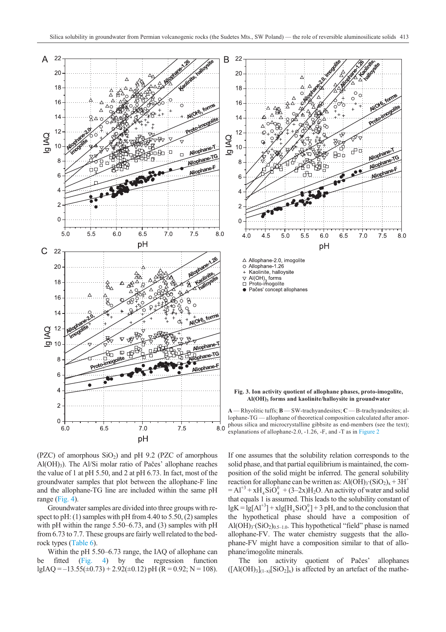<span id="page-6-0"></span>

(PZC) of amorphous  $SiO<sub>2</sub>$ ) and pH 9.2 (PZC of amorphous Al(OH)<sub>3</sub>). The Al/Si molar ratio of Pačes' allophane reaches the value of 1 at pH 5.50, and 2 at pH 6.73. In fact, most of the groundwater samples that plot between the allophane-F line and the allophane-TG line are included within the same pH range [\(Fig. 4\)](#page-7-0).

Groundwater samples are divided into three groups with respect to pH: (1) samples with pH from 4.40 to 5.50, (2) samples with pH within the range 5.50–6.73, and (3) samples with pH from 6.73 to 7.7. These groups are fairly well related to the bedrock types [\(Table 6\)](#page-7-0).

Within the pH 5.50–6.73 range, the IAQ of allophane can be fitted [\(Fig. 4\)](#page-7-0) by the regression function  $lgIAQ = -13.55(\pm 0.73) + 2.92(\pm 0.12)$  pH (R = 0.92; N = 108).

If one assumes that the solubility relation corresponds to the solid phase, and that partial equilibrium is maintained, the composition of the solid might be inferred. The general solubility reaction for allophane can be written as:  $\text{Al(OH)}_3 \cdot (\text{SiO}_2)_x + 3\text{H}^+$  $=A1^{+3} + xH_4SiO_4^0 + (3-2x)H_2O$ . An activity of water and solid that equals 1 is assumed. This leads to the solubility constant of  $lgK = lg[A1^{+3}] + xlg[H_4SiO_4^0] + 3 pH$ , and to the conclusion that the hypothetical phase should have a composition of Al(OH)<sub>3</sub>·(SiO<sub>2</sub>)<sub>0.5–1.0</sub>. This hypothetical "field" phase is named allophane-FV. The water chemistry suggests that the allophane-FV might have a composition similar to that of allophane/imogolite minerals.

The ion activity quotient of Paèes' allophanes  $([A(OH)<sub>3</sub>]<sub>(1-x)</sub>[SiO<sub>2</sub>]<sub>x</sub>)$  is affected by an artefact of the mathe-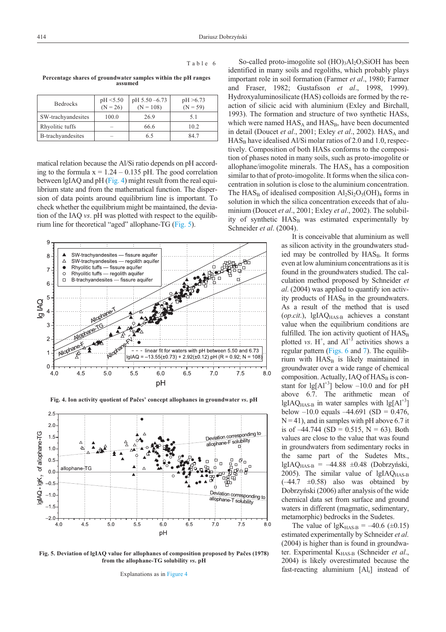<span id="page-7-0"></span>

|--|--|

|  | я | n |  |  |  |
|--|---|---|--|--|--|
|--|---|---|--|--|--|

**Percentage shares of groundwater samples within the pH ranges assumed**

| <b>Bedrocks</b>    | pH < 5.50<br>$(N = 26)$ | $pH 5.50 - 6.73$<br>$(N = 108)$ | pH > 6.73<br>$(N = 59)$ |
|--------------------|-------------------------|---------------------------------|-------------------------|
| SW-trachyandesites | 100.0                   | 26.9                            | 5.1                     |
| Rhyolitic tuffs    | -                       | 66.6                            | 10.2                    |
| B-trachyandesites  | -                       | 6.5                             | 84 7                    |

matical relation because the Al/Si ratio depends on pH according to the formula  $x = 1.24 - 0.135$  pH. The good correlation between lgIAQ and pH (Fig. 4) might result from the real equilibrium state and from the mathematical function. The dispersion of data points around equilibrium line is important. To check whether the equilibrium might be maintained, the deviation of the IAQ *vs*. pH was plotted with respect to the equilibrium line for theoretical "aged" allophane-TG (Fig. 5).



**Fig. 4. Ion activity quotient of Paèes' concept allophanes in groundwater** *vs***. pH**



**Fig. 5. Deviation of lgIAQ value for allophanes of composition proposed by Paèes (1978) from the allophane-TG solubility** *vs***. pH**

Explanations as in Figure 4

So-called proto-imogolite sol  $(HO)$ <sub>3</sub>Al<sub>2</sub>O<sub>3</sub>SiOH has been identified in many soils and regoliths, which probably plays important role in soil formation (Farmer *et al*., 1980; Farmer and Fraser, 1982; Gustafsson *et al*., 1998, 1999). Hydroxyaluminosilicate (HAS) colloids are formed by the reaction of silicic acid with aluminium (Exley and Birchall, 1993). The formation and structure of two synthetic HASs, which were named  $HAS_A$  and  $HAS_B$ , have been documented in detail (Doucet *et al.*, 2001; Exley *et al.*, 2002). HAS<sub>A</sub> and  $HAS_B$  have idealised Al/Si molar ratios of 2.0 and 1.0, respectively. Composition of both HASs conforms to the composition of phases noted in many soils, such as proto-imogolite or allophane/imogolite minerals. The  $HAS<sub>A</sub>$  has a composition similar to that of proto-imogolite. It forms when the silica concentration in solution is close to the aluminium concentration. The  $HAS_B$  of idealised composition  $Al_2Si_2O_5(OH)_4$  forms in solution in which the silica concentration exceeds that of aluminium (Doucet *et al*., 2001; Exley *et al*., 2002). The solubility of synthetic  $HAS_B$  was estimated experimentally by Schneider *et al*. (2004).

It is conceivable that aluminium as well as silicon activity in the groundwaters studied may be controlled by HAS<sub>B</sub>. It forms even at low aluminium concentrations as it is found in the groundwaters studied. The calculation method proposed by Schneider *et al*. (2004) was applied to quantify ion activity products of HAS<sub>B</sub> in the groundwaters. As a result of the method that is used (op.cit.), lgIAQ<sub>HAS-B</sub> achieves a constant value when the equilibrium conditions are fulfilled. The ion activity quotient of  $HAS_B$ plotted *vs*.  $H^+$ , and  $Al^{+3}$  activities shows a regular pattern [\(Figs. 6](#page-8-0) and [7\)](#page-8-0). The equilibrium with  $HAS_B$  is likely maintained in groundwater over a wide range of chemical composition. Actually, IAQ of  $HAS_B$  is constant for  $\lg[A]^{+3}$ ] below -10.0 and for pH above 6.7. The arithmetic mean of lgIAQ $_{\text{HAS-B}}$  in water samples with lg[Al<sup>+3</sup>] below  $-10.0$  equals  $-44.691$  (SD = 0.476,  $N = 41$ , and in samples with pH above 6.7 it is of  $-44.744$  (SD = 0.515, N = 63). Both values are close to the value that was found in groundwaters from sedimentary rocks in the same part of the Sudetes Mts., lgIAQ $_{\text{HAS-B}}$  =  $-44.88 \pm 0.48$  (Dobrzyński, 2005). The similar value of  $lgIAQ<sub>HAS-B</sub>$  $(-44.7 \pm 0.58)$  also was obtained by Dobrzyñski (2006) after analysis of the wide chemical data set from surface and ground waters in different (magmatic, sedimentary, metamorphic) bedrocks in the Sudetes.

The value of lgK<sub>HAS-B</sub> =  $-40.6$  ( $\pm$ 0.15) estimated experimentally by Schneider *et al*. (2004) is higher than is found in groundwater. Experimental KHAS-B (Schneider *et al*., 2004) is likely overestimated because the fast-reacting aluminium  $[A]_r$  instead of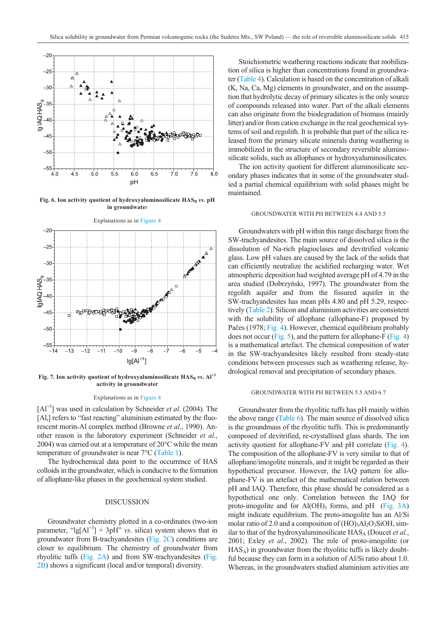<span id="page-8-0"></span>

Fig. 6. Ion activity quotient of hydroxyaluminosilicate  $\text{HAS}_B$  *vs*. pH **in groundwate**r



Fig. 7. Ion activity quotient of hydroxyaluminosilicate  $\text{HAS}_B$  *vs*. Al<sup>+3</sup> **activity in groundwater**

### Explanations as in [Figure 4](#page-7-0)

[Al<sup>+3</sup>] was used in calculation by Schneider *et al.* (2004). The [Al<sub>r</sub>] refers to "fast reacting" aluminium estimated by the fluorescent morin-Al complex method (Browne *et al*., 1990). Another reason is the laboratory experiment (Schneider *et al*., 2004) was carried out at a temperature of 20°C while the mean temperature of groundwater is near 7°C [\(Table 1\)](#page-1-0).

The hydrochemical data point to the occurrence of HAS colloids in the groundwater, which is conducive to the formation of allophane-like phases in the geochemical system studied.

# DISCUSSION

Groundwater chemistry plotted in a co-ordinates (two-ion parameter, " $\lg[A]^{+3}$ ] +  $3pH$ " *vs.* silica) system shows that in groundwater from B-trachyandesites [\(Fig. 2C\)](#page-3-0) conditions are closer to equilibrium. The chemistry of groundwater from rhyolitic tuffs [\(Fig. 2A\)](#page-3-0) and from SW-trachyandesites [\(Fig.](#page-3-0) [2B\)](#page-3-0) shows a significant (local and/or temporal) diversity.

Stoichiometric weathering reactions indicate that mobilization of silica is higher than concentrations found in groundwater [\(Table 4\)](#page-4-0). Calculation is based on the concentration of alkali (K, Na, Ca, Mg) elements in groundwater, and on the assumption that hydrolytic decay of primary silicates is the only source of compounds released into water. Part of the alkali elements can also originate from the biodegradation of biomass (mainly litter) and/or from cation exchange in the real geochemical systems of soil and regolith. It is probable that part of the silica released from the primary silicate minerals during weathering is immobilized in the structure of secondary reversible aluminosilicate solids, such as allophanes or hydroxyaluminosilicates.

The ion activity quotient for different aluminosilicate secondary phases indicates that in some of the groundwater studied a partial chemical equilibrium with solid phases might be maintained.

### GROUNDWATER WITH PH BETWEEN 4.4 AND 5.5

Groundwaters with pH within this range discharge from the SW-trachyandesites. The main source of dissolved silica is the dissolution of Na-rich plagioclases and devitrified volcanic glass. Low pH values are caused by the lack of the solids that can efficiently neutralize the acidified recharging water. Wet atmospheric deposition had weighted average pH of 4.79 in the area studied (Dobrzyñski, 1997). The groundwater from the regolith aquifer and from the fissured aquifer in the SW-trachyandesites has mean pHs 4.80 and pH 5.29, respectively [\(Table 2\)](#page-2-0). Silicon and aluminium activities are consistent with the solubility of allophane (allophane-F) proposed by Pačes (1978; [Fig. 4\)](#page-7-0). However, chemical equilibrium probably does not occur [\(Fig. 5\)](#page-7-0), and the pattern for allophane-F [\(Fig. 4\)](#page-7-0) is a mathematical artefact. The chemical composition of water in the SW-trachyandesites likely resulted from steady-state conditions between processes such as weathering release, hydrological removal and precipitation of secondary phases.

### GROUNDWATER WITH PH BETWEEN 5.5 AND 6.7

Groundwater from the rhyolitic tuffs has pH mainly within the above range [\(Table 6\).](#page-7-0) The main source of dissolved silica is the groundmass of the rhyolitic tuffs. This is predominantly composed of devitrified, re-crystallised glass shards. The ion activity quotient for allophane-FV and pH correlate [\(Fig. 4\)](#page-7-0). The composition of the allophane-FV is very similar to that of allophane/imogolite minerals, and it might be regarded as their hypothetical precursor. However, the IAQ pattern for allophane-FV is an artefact of the mathematical relation between pH and IAQ. Therefore, this phase should be considered as a hypothetical one only. Correlation between the IAQ for proto-imogolite and for  $Al(OH)$ <sub>3</sub> forms, and pH [\(Fig. 3A](#page-6-0)) might indicate equilibrium. The proto-imogolite has an Al/Si molar ratio of 2.0 and a composition of  $(HO)_{3}Al_{2}O_{3}SiOH$ , similar to that of the hydroxyaluminosilicate  $HAS<sub>A</sub>$  (Doucet *et al.*, 2001; Exley *et al*., 2002). The role of proto-imogolite (or  $HAS<sub>A</sub>$ ) in groundwater from the rhyolitic tuffs is likely doubtful because they can form in a solution of Al/Si ratio about 1.0. Whereas, in the groundwaters studied aluminium activities are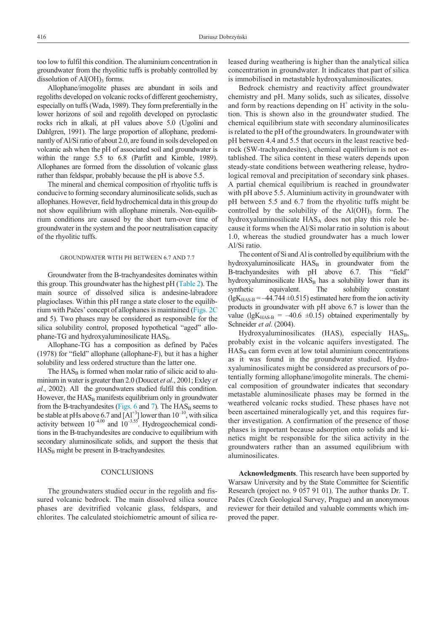too low to fulfil this condition. The aluminium concentration in groundwater from the rhyolitic tuffs is probably controlled by dissolution of  $AI(OH)$ <sub>3</sub> forms.

Allophane/imogolite phases are abundant in soils and regoliths developed on volcanic rocks of different geochemistry, especially on tuffs (Wada, 1989). They form preferentially in the lower horizons of soil and regolith developed on pyroclastic rocks rich in alkali, at pH values above 5.0 (Ugolini and Dahlgren, 1991). The large proportion of allophane, predominantly of Al/Si ratio of about 2.0, are found in soils developed on volcanic ash when the pH of associated soil and groundwater is within the range 5.5 to 6.8 (Parfitt and Kimble, 1989). Allophanes are formed from the dissolution of volcanic glass rather than feldspar, probably because the pH is above 5.5.

The mineral and chemical composition of rhyolitic tuffs is conducive to forming secondary aluminosilicate solids, such as allophanes. However, field hydrochemical data in this group do not show equilibrium with allophane minerals. Non-equilibrium conditions are caused by the short turn-over time of groundwater in the system and the poor neutralisation capacity of the rhyolitic tuffs.

### GROUNDWATER WITH PH BETWEEN 6.7 AND 7.7

Groundwater from the B-trachyandesites dominates within this group. This groundwater has the highest pH [\(Table 2\)](#page-2-0). The main source of dissolved silica is andesine-labradore plagioclases. Within this pH range a state closer to the equilibrium with Paèes' concept of allophanes is maintained [\(Figs. 2C](#page-3-0) an[d 5\)](#page-7-0). Two phases may be considered as responsible for the silica solubility control, proposed hypothetical "aged" allophane-TG and hydroxyaluminosilicate  $HAS_B$ .

Allophane-TG has a composition as defined by Paèes (1978) for "field" allophane (allophane-F), but it has a higher solubility and less ordered structure than the latter one.

The  $HAS_B$  is formed when molar ratio of silicic acid to aluminium in water is greater than 2.0 (Doucet *et al*., 2001; Exley *et al*., 2002). All the groundwaters studied fulfil this condition. However, the  $HAS_B$  manifests equilibrium only in groundwater from the B-trachyandesites [\(Figs. 6](#page-8-0) and [7\)](#page-8-0). The  $HAS_B$  seems to be stable at pHs above 6.7 and  $[A]^{+3}$ ] lower than  $10^{-10}$ , with silica activity between  $10^{-4.00}$  and  $10^{-3.55}$ . Hydrogeochemical conditions in the B-trachyandesites are conducive to equilibrium with secondary aluminosilicate solids, and support the thesis that  $HAS<sub>B</sub>$  might be present in B-trachyandesites.

# **CONCLUSIONS**

The groundwaters studied occur in the regolith and fissured volcanic bedrock. The main dissolved silica source phases are devitrified volcanic glass, feldspars, and chlorites. The calculated stoichiometric amount of silica released during weathering is higher than the analytical silica concentration in groundwater. It indicates that part of silica is immobilised in metastable hydroxyaluminosilicates.

Bedrock chemistry and reactivity affect groundwater chemistry and pH. Many solids, such as silicates, dissolve and form by reactions depending on  $H^+$  activity in the solution. This is shown also in the groundwater studied. The chemical equilibrium state with secondary aluminosilicates is related to the pH of the groundwaters. In groundwater with pH between 4.4 and 5.5 that occurs in the least reactive bedrock (SW-trachyandesites), chemical equilibrium is not established. The silica content in these waters depends upon steady-state conditions between weathering release, hydrological removal and precipitation of secondary sink phases. A partial chemical equilibrium is reached in groundwater with pH above 5.5. Aluminium activity in groundwater with pH between 5.5 and 6.7 from the rhyolitic tuffs might be controlled by the solubility of the  $Al(OH)$ <sub>3</sub> form. The hydroxyaluminosilicate  $HAS<sub>A</sub>$  does not play this role because it forms when the Al/Si molar ratio in solution is about 1.0, whereas the studied groundwater has a much lower Al/Si ratio.

The content of Si and Al is controlled by equilibrium with the hydroxyaluminosilicate  $HAS_B$  in groundwater from the B-trachyandesites with pH above 6.7. This "field" hydroxyaluminosilicate HAS<sub>B</sub> has a solubility lower than its synthetic equivalent. The solubility constant  $(lgK<sub>HAS-B</sub> = -44.744 \pm 0.515)$  estimated here from the ion activity products in groundwater with pH above 6.7 is lower than the value (lgK<sub>HAS-B</sub> =  $-40.6 \pm 0.15$ ) obtained experimentally by Schneider *et al*. (2004).

Hydroxyaluminosilicates  $(HAS)$ , especially  $HAS_B$ , probably exist in the volcanic aquifers investigated. The  $HAS_B$  can form even at low total aluminium concentrations as it was found in the groundwater studied. Hydroxyaluminosilicates might be considered as precursors of potentially forming allophane/imogolite minerals. The chemical composition of groundwater indicates that secondary metastable aluminosilicate phases may be formed in the weathered volcanic rocks studied. These phases have not been ascertained mineralogically yet, and this requires further investigation. A confirmation of the presence of those phases is important because adsorption onto solids and kinetics might be responsible for the silica activity in the groundwaters rather than an assumed equilibrium with aluminosilicates.

**Acknowledgments**. This research have been supported by Warsaw University and by the State Committee for Scientific Research (project no. 9 057 91 01). The author thanks Dr. T. Paèes (Czech Geological Survey, Prague) and an anonymous reviewer for their detailed and valuable comments which improved the paper.